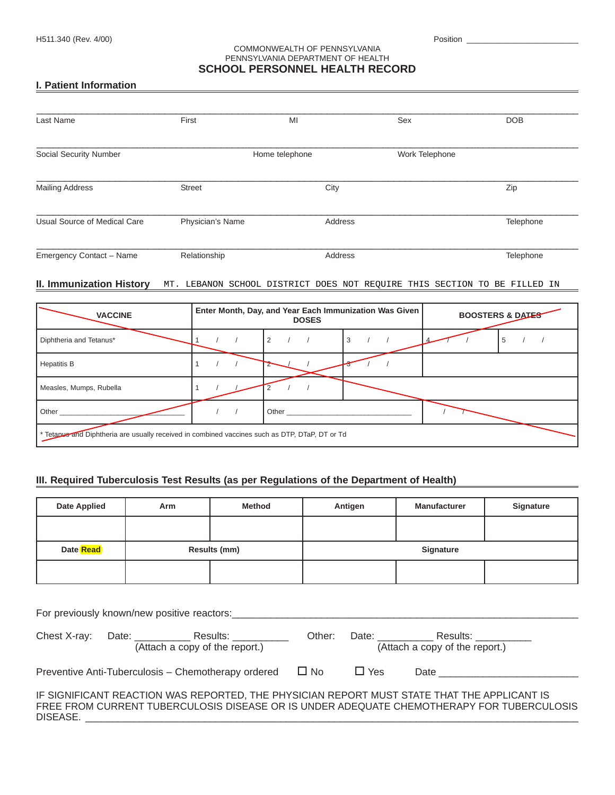### COMMONWEALTH OF PENNSYLVANIA PENNSYLVANIA DEPARTMENT OF HEALTH **SCHOOL PERSONNEL HEALTH RECORD**

## **I. Patient Information**

| Last Name                    | First            | MI             | Sex            | <b>DOB</b> |
|------------------------------|------------------|----------------|----------------|------------|
| Social Security Number       |                  | Home telephone | Work Telephone |            |
| <b>Mailing Address</b>       | <b>Street</b>    | City           |                | Zip        |
| Usual Source of Medical Care | Physician's Name | Address        |                | Telephone  |
| Emergency Contact - Name     | Relationship     | Address        |                | Telephone  |

#### **II. Immunization History** MT. LEBANON SCHOOL DISTRICT DOES NOT REQUIRE THIS SECTION TO BE FILLED IN

| <b>VACCINE</b>                                                                                 |  | <b>DOSES</b> | Enter Month, Day, and Year Each Immunization Was Given | <b>BOOSTERS &amp; DATES</b> |   |  |
|------------------------------------------------------------------------------------------------|--|--------------|--------------------------------------------------------|-----------------------------|---|--|
| Diphtheria and Tetanus*                                                                        |  | 2            | 3                                                      |                             | ÷ |  |
| <b>Hepatitis B</b>                                                                             |  |              |                                                        |                             |   |  |
| Measles, Mumps, Rubella                                                                        |  |              |                                                        |                             |   |  |
| Other                                                                                          |  | Other        |                                                        |                             |   |  |
| * Tetapus and Diphtheria are usually received in combined vaccines such as DTP, DTaP, DT or Td |  |              |                                                        |                             |   |  |

## **III. Required Tuberculosis Test Results (as per Regulations of the Department of Health)**

| <b>Date Applied</b>                                                                                                                                                                                                                                                           | Arm                                                 | <b>Method</b> |                  | Antigen    | <b>Manufacturer</b>                                                                         | <b>Signature</b>                                                                          |
|-------------------------------------------------------------------------------------------------------------------------------------------------------------------------------------------------------------------------------------------------------------------------------|-----------------------------------------------------|---------------|------------------|------------|---------------------------------------------------------------------------------------------|-------------------------------------------------------------------------------------------|
|                                                                                                                                                                                                                                                                               |                                                     |               |                  |            |                                                                                             |                                                                                           |
| Date Read                                                                                                                                                                                                                                                                     | Results (mm)                                        |               | <b>Signature</b> |            |                                                                                             |                                                                                           |
|                                                                                                                                                                                                                                                                               |                                                     |               |                  |            |                                                                                             |                                                                                           |
| For previously known/new positive reactors:<br>Chest X-ray: Date: Results: Results: Neter: Date: Results: Results: Results: Results: Results: Results: Results: Results: Results: Results: Results: Results: Results: Results: Results: Results: Results: Results: Results: R |                                                     |               |                  |            |                                                                                             |                                                                                           |
|                                                                                                                                                                                                                                                                               | Preventive Anti-Tuberculosis – Chemotherapy ordered |               | $\square$ No     | $\Box$ Yes | Date ________                                                                               |                                                                                           |
| DISEASE.                                                                                                                                                                                                                                                                      |                                                     |               |                  |            | IF SIGNIFICANT REACTION WAS REPORTED, THE PHYSICIAN REPORT MUST STATE THAT THE APPLICANT IS | FREE FROM CURRENT TUBERCULOSIS DISEASE OR IS UNDER ADEQUATE CHEMOTHERAPY FOR TUBERCULOSIS |